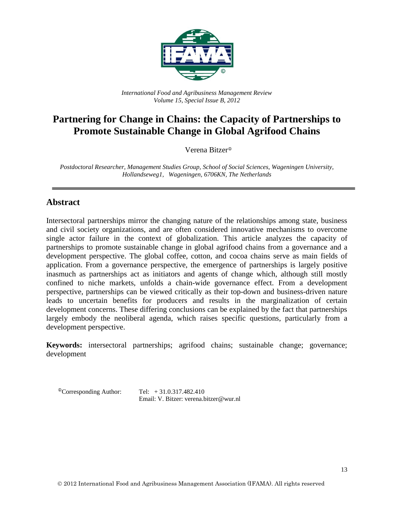

*International Food and Agribusiness Management Review Volume 15, Special Issue B, 2012*

# **Partnering for Change in Chains: the Capacity of Partnerships to Promote Sustainable Change in Global Agrifood Chains**

Verena Bitzer

*Postdoctoral Researcher, Management Studies Group, School of Social Sciences, Wageningen University, Hollandseweg1, Wageningen, 6706KN, The Netherlands*

# **Abstract**

Intersectoral partnerships mirror the changing nature of the relationships among state, business and civil society organizations, and are often considered innovative mechanisms to overcome single actor failure in the context of globalization. This article analyzes the capacity of partnerships to promote sustainable change in global agrifood chains from a governance and a development perspective. The global coffee, cotton, and cocoa chains serve as main fields of application. From a governance perspective, the emergence of partnerships is largely positive inasmuch as partnerships act as initiators and agents of change which, although still mostly confined to niche markets, unfolds a chain-wide governance effect. From a development perspective, partnerships can be viewed critically as their top-down and business-driven nature leads to uncertain benefits for producers and results in the marginalization of certain development concerns. These differing conclusions can be explained by the fact that partnerships largely embody the neoliberal agenda, which raises specific questions, particularly from a development perspective.

**Keywords:** intersectoral partnerships; agrifood chains; sustainable change; governance; development

 ${}^{\circ}$ Corresponding Author: Tel:  $+31.0.317.482.410$ Email: V. Bitzer: verena.bitzer@wur.nl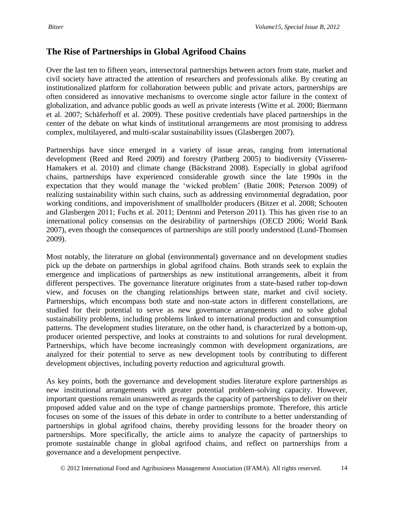# **The Rise of Partnerships in Global Agrifood Chains**

Over the last ten to fifteen years, intersectoral partnerships between actors from state, market and civil society have attracted the attention of researchers and professionals alike. By creating an institutionalized platform for collaboration between public and private actors, partnerships are often considered as innovative mechanisms to overcome single actor failure in the context of globalization, and advance public goods as well as private interests (Witte et al. 2000; Biermann et al. 2007; Schäferhoff et al. 2009). These positive credentials have placed partnerships in the center of the debate on what kinds of institutional arrangements are most promising to address complex, multilayered, and multi-scalar sustainability issues (Glasbergen 2007).

Partnerships have since emerged in a variety of issue areas, ranging from international development (Reed and Reed 2009) and forestry (Pattberg 2005) to biodiversity (Visseren-Hamakers et al. 2010) and climate change (Bäckstrand 2008). Especially in global agrifood chains, partnerships have experienced considerable growth since the late 1990s in the expectation that they would manage the 'wicked problem' (Batie 2008; Peterson 2009) of realizing sustainability within such chains, such as addressing environmental degradation, poor working conditions, and impoverishment of smallholder producers (Bitzer et al. 2008; Schouten and Glasbergen 2011; Fuchs et al. 2011; Dentoni and Peterson 2011). This has given rise to an international policy consensus on the desirability of partnerships (OECD 2006; World Bank 2007), even though the consequences of partnerships are still poorly understood (Lund-Thomsen 2009).

Most notably, the literature on global (environmental) governance and on development studies pick up the debate on partnerships in global agrifood chains. Both strands seek to explain the emergence and implications of partnerships as new institutional arrangements, albeit it from different perspectives. The governance literature originates from a state-based rather top-down view, and focuses on the changing relationships between state, market and civil society. Partnerships, which encompass both state and non-state actors in different constellations, are studied for their potential to serve as new governance arrangements and to solve global sustainability problems, including problems linked to international production and consumption patterns. The development studies literature, on the other hand, is characterized by a bottom-up, producer oriented perspective, and looks at constraints to and solutions for rural development. Partnerships, which have become increasingly common with development organizations, are analyzed for their potential to serve as new development tools by contributing to different development objectives, including poverty reduction and agricultural growth.

As key points, both the governance and development studies literature explore partnerships as new institutional arrangements with greater potential problem-solving capacity. However, important questions remain unanswered as regards the capacity of partnerships to deliver on their proposed added value and on the type of change partnerships promote. Therefore, this article focuses on some of the issues of this debate in order to contribute to a better understanding of partnerships in global agrifood chains, thereby providing lessons for the broader theory on partnerships. More specifically, the article aims to analyze the capacity of partnerships to promote sustainable change in global agrifood chains, and reflect on partnerships from a governance and a development perspective.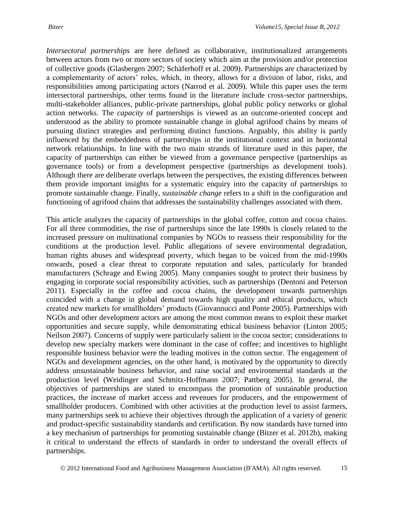*Intersectoral partnerships* are here defined as collaborative, institutionalized arrangements between actors from two or more sectors of society which aim at the provision and/or protection of collective goods (Glasbergen 2007; Schäferhoff et al. 2009). Partnerships are characterized by a complementarity of actors' roles, which, in theory, allows for a division of labor, risks, and responsibilities among participating actors (Narrod et al. 2009). While this paper uses the term intersectoral partnerships, other terms found in the literature include cross-sector partnerships, multi-stakeholder alliances, public-private partnerships, global public policy networks or global action networks. The *capacity* of partnerships is viewed as an outcome-oriented concept and understood as the ability to promote sustainable change in global agrifood chains by means of pursuing distinct strategies and performing distinct functions. Arguably, this ability is partly influenced by the embeddedness of partnerships in the institutional context and in horizontal network relationships. In line with the two main strands of literature used in this paper, the capacity of partnerships can either be viewed from a governance perspective (partnerships as governance tools) or from a development perspective (partnerships as development tools). Although there are deliberate overlaps between the perspectives, the existing differences between them provide important insights for a systematic enquiry into the capacity of partnerships to promote sustainable change. Finally, *sustainable change* refers to a shift in the configuration and functioning of agrifood chains that addresses the sustainability challenges associated with them.

This article analyzes the capacity of partnerships in the global coffee, cotton and cocoa chains. For all three commodities, the rise of partnerships since the late 1990s is closely related to the increased pressure on multinational companies by NGOs to reassess their responsibility for the conditions at the production level. Public allegations of severe environmental degradation, human rights abuses and widespread poverty, which began to be voiced from the mid-1990s onwards, posed a clear threat to corporate reputation and sales, particularly for branded manufacturers (Schrage and Ewing 2005). Many companies sought to protect their business by engaging in corporate social responsibility activities, such as partnerships (Dentoni and Peterson 2011). Especially in the coffee and cocoa chains, the development towards partnerships coincided with a change in global demand towards high quality and ethical products, which created new markets for smallholders' products (Giovannucci and Ponte 2005). Partnerships with NGOs and other development actors are among the most common means to exploit these market opportunities and secure supply, while demonstrating ethical business behavior (Linton 2005; Neilson 2007). Concerns of supply were particularly salient in the cocoa sector; considerations to develop new specialty markets were dominant in the case of coffee; and incentives to highlight responsible business behavior were the leading motives in the cotton sector. The engagement of NGOs and development agencies, on the other hand, is motivated by the opportunity to directly address unsustainable business behavior, and raise social and environmental standards at the production level (Weidinger and Schmitz-Hoffmann 2007; Pattberg 2005). In general, the objectives of partnerships are stated to encompass the promotion of sustainable production practices, the increase of market access and revenues for producers, and the empowerment of smallholder producers. Combined with other activities at the production level to assist farmers, many partnerships seek to achieve their objectives through the application of a variety of generic and product-specific sustainability standards and certification. By now standards have turned into a key mechanism of partnerships for promoting sustainable change (Bitzer et al. 2012b), making it critical to understand the effects of standards in order to understand the overall effects of partnerships.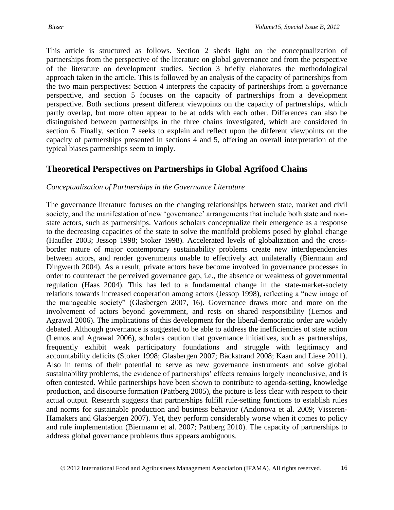This article is structured as follows. Section 2 sheds light on the conceptualization of partnerships from the perspective of the literature on global governance and from the perspective of the literature on development studies. Section 3 briefly elaborates the methodological approach taken in the article. This is followed by an analysis of the capacity of partnerships from the two main perspectives: Section 4 interprets the capacity of partnerships from a governance perspective, and section 5 focuses on the capacity of partnerships from a development perspective. Both sections present different viewpoints on the capacity of partnerships, which partly overlap, but more often appear to be at odds with each other. Differences can also be distinguished between partnerships in the three chains investigated, which are considered in section 6. Finally, section 7 seeks to explain and reflect upon the different viewpoints on the capacity of partnerships presented in sections 4 and 5, offering an overall interpretation of the typical biases partnerships seem to imply.

# **Theoretical Perspectives on Partnerships in Global Agrifood Chains**

# *Conceptualization of Partnerships in the Governance Literature*

The governance literature focuses on the changing relationships between state, market and civil society, and the manifestation of new 'governance' arrangements that include both state and nonstate actors, such as partnerships. Various scholars conceptualize their emergence as a response to the decreasing capacities of the state to solve the manifold problems posed by global change (Haufler 2003; Jessop 1998; Stoker 1998). Accelerated levels of globalization and the crossborder nature of major contemporary sustainability problems create new interdependencies between actors, and render governments unable to effectively act unilaterally (Biermann and Dingwerth 2004). As a result, private actors have become involved in governance processes in order to counteract the perceived governance gap, i.e., the absence or weakness of governmental regulation (Haas 2004). This has led to a fundamental change in the state-market-society relations towards increased cooperation among actors (Jessop 1998), reflecting a "new image of the manageable society" (Glasbergen 2007, 16). Governance draws more and more on the involvement of actors beyond government, and rests on shared responsibility (Lemos and Agrawal 2006). The implications of this development for the liberal-democratic order are widely debated. Although governance is suggested to be able to address the inefficiencies of state action (Lemos and Agrawal 2006), scholars caution that governance initiatives, such as partnerships, frequently exhibit weak participatory foundations and struggle with legitimacy and accountability deficits (Stoker 1998; Glasbergen 2007; Bäckstrand 2008; Kaan and Liese 2011). Also in terms of their potential to serve as new governance instruments and solve global sustainability problems, the evidence of partnerships' effects remains largely inconclusive, and is often contested. While partnerships have been shown to contribute to agenda-setting, knowledge production, and discourse formation (Pattberg 2005), the picture is less clear with respect to their actual output. Research suggests that partnerships fulfill rule-setting functions to establish rules and norms for sustainable production and business behavior (Andonova et al. 2009; Visseren-Hamakers and Glasbergen 2007). Yet, they perform considerably worse when it comes to policy and rule implementation (Biermann et al. 2007; Pattberg 2010). The capacity of partnerships to address global governance problems thus appears ambiguous.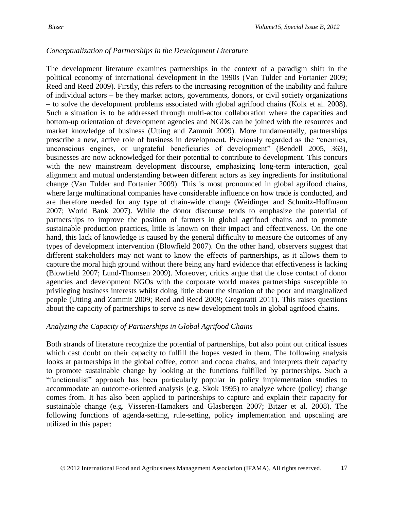# *Conceptualization of Partnerships in the Development Literature*

The development literature examines partnerships in the context of a paradigm shift in the political economy of international development in the 1990s (Van Tulder and Fortanier 2009; Reed and Reed 2009). Firstly, this refers to the increasing recognition of the inability and failure of individual actors – be they market actors, governments, donors, or civil society organizations – to solve the development problems associated with global agrifood chains (Kolk et al. 2008). Such a situation is to be addressed through multi-actor collaboration where the capacities and bottom-up orientation of development agencies and NGOs can be joined with the resources and market knowledge of business (Utting and Zammit 2009). More fundamentally, partnerships prescribe a new, active role of business in development. Previously regarded as the "enemies, unconscious engines, or ungrateful beneficiaries of development" (Bendell 2005, 363), businesses are now acknowledged for their potential to contribute to development. This concurs with the new mainstream development discourse, emphasizing long-term interaction, goal alignment and mutual understanding between different actors as key ingredients for institutional change (Van Tulder and Fortanier 2009). This is most pronounced in global agrifood chains, where large multinational companies have considerable influence on how trade is conducted, and are therefore needed for any type of chain-wide change (Weidinger and Schmitz-Hoffmann 2007; World Bank 2007). While the donor discourse tends to emphasize the potential of partnerships to improve the position of farmers in global agrifood chains and to promote sustainable production practices, little is known on their impact and effectiveness. On the one hand, this lack of knowledge is caused by the general difficulty to measure the outcomes of any types of development intervention (Blowfield 2007). On the other hand, observers suggest that different stakeholders may not want to know the effects of partnerships, as it allows them to capture the moral high ground without there being any hard evidence that effectiveness is lacking (Blowfield 2007; Lund-Thomsen 2009). Moreover, critics argue that the close contact of donor agencies and development NGOs with the corporate world makes partnerships susceptible to privileging business interests whilst doing little about the situation of the poor and marginalized people (Utting and Zammit 2009; Reed and Reed 2009; Gregoratti 2011). This raises questions about the capacity of partnerships to serve as new development tools in global agrifood chains.

# *Analyzing the Capacity of Partnerships in Global Agrifood Chains*

Both strands of literature recognize the potential of partnerships, but also point out critical issues which cast doubt on their capacity to fulfill the hopes vested in them. The following analysis looks at partnerships in the global coffee, cotton and cocoa chains, and interprets their capacity to promote sustainable change by looking at the functions fulfilled by partnerships. Such a "functionalist" approach has been particularly popular in policy implementation studies to accommodate an outcome-oriented analysis (e.g. Skok 1995) to analyze where (policy) change comes from. It has also been applied to partnerships to capture and explain their capacity for sustainable change (e.g. Visseren-Hamakers and Glasbergen 2007; Bitzer et al. 2008). The following functions of agenda-setting, rule-setting, policy implementation and upscaling are utilized in this paper: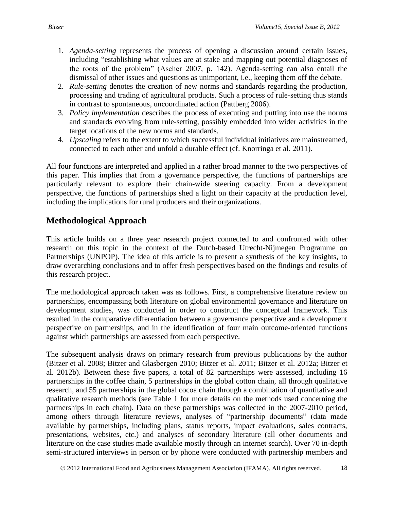- 1. *Agenda-setting* represents the process of opening a discussion around certain issues, including "establishing what values are at stake and mapping out potential diagnoses of the roots of the problem" (Ascher 2007, p. 142). Agenda-setting can also entail the dismissal of other issues and questions as unimportant, i.e., keeping them off the debate.
- 2. *Rule-setting* denotes the creation of new norms and standards regarding the production, processing and trading of agricultural products. Such a process of rule-setting thus stands in contrast to spontaneous, uncoordinated action (Pattberg 2006).
- 3. *Policy implementation* describes the process of executing and putting into use the norms and standards evolving from rule-setting, possibly embedded into wider activities in the target locations of the new norms and standards.
- 4. *Upscaling* refers to the extent to which successful individual initiatives are mainstreamed, connected to each other and unfold a durable effect (cf. Knorringa et al. 2011).

All four functions are interpreted and applied in a rather broad manner to the two perspectives of this paper. This implies that from a governance perspective, the functions of partnerships are particularly relevant to explore their chain-wide steering capacity. From a development perspective, the functions of partnerships shed a light on their capacity at the production level, including the implications for rural producers and their organizations.

# **Methodological Approach**

This article builds on a three year research project connected to and confronted with other research on this topic in the context of the Dutch-based Utrecht-Nijmegen Programme on Partnerships (UNPOP). The idea of this article is to present a synthesis of the key insights, to draw overarching conclusions and to offer fresh perspectives based on the findings and results of this research project.

The methodological approach taken was as follows. First, a comprehensive literature review on partnerships, encompassing both literature on global environmental governance and literature on development studies, was conducted in order to construct the conceptual framework. This resulted in the comparative differentiation between a governance perspective and a development perspective on partnerships, and in the identification of four main outcome-oriented functions against which partnerships are assessed from each perspective.

The subsequent analysis draws on primary research from previous publications by the author (Bitzer et al. 2008; Bitzer and Glasbergen 2010; Bitzer et al. 2011; Bitzer et al. 2012a; Bitzer et al. 2012b). Between these five papers, a total of 82 partnerships were assessed, including 16 partnerships in the coffee chain, 5 partnerships in the global cotton chain, all through qualitative research, and 55 partnerships in the global cocoa chain through a combination of quantitative and qualitative research methods (see Table 1 for more details on the methods used concerning the partnerships in each chain). Data on these partnerships was collected in the 2007-2010 period, among others through literature reviews, analyses of "partnership documents" (data made available by partnerships, including plans, status reports, impact evaluations, sales contracts, presentations, websites, etc.) and analyses of secondary literature (all other documents and literature on the case studies made available mostly through an internet search). Over 70 in-depth semi-structured interviews in person or by phone were conducted with partnership members and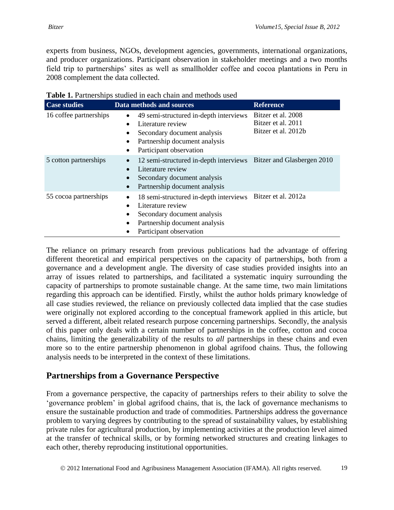experts from business, NGOs, development agencies, governments, international organizations, and producer organizations. Participant observation in stakeholder meetings and a two months field trip to partnerships' sites as well as smallholder coffee and cocoa plantations in Peru in 2008 complement the data collected.

| <b>Case studies</b>    | Data methods and sources                                                                                                                                                                | <b>Reference</b>                                                |  |  |
|------------------------|-----------------------------------------------------------------------------------------------------------------------------------------------------------------------------------------|-----------------------------------------------------------------|--|--|
| 16 coffee partnerships | 49 semi-structured in-depth interviews<br>٠<br>Literature review<br>$\bullet$<br>Secondary document analysis<br>Partnership document analysis<br>Participant observation                | Bitzer et al. 2008<br>Bitzer et al. 2011<br>Bitzer et al. 2012b |  |  |
| 5 cotton partnerships  | 12 semi-structured in-depth interviews Bitzer and Glasbergen 2010<br>Literature review<br>Secondary document analysis<br>Partnership document analysis                                  |                                                                 |  |  |
| 55 cocoa partnerships  | 18 semi-structured in-depth interviews Bitzer et al. 2012a<br>Literature review<br>$\bullet$<br>Secondary document analysis<br>Partnership document analysis<br>Participant observation |                                                                 |  |  |

**Table 1.** Partnerships studied in each chain and methods used

The reliance on primary research from previous publications had the advantage of offering different theoretical and empirical perspectives on the capacity of partnerships, both from a governance and a development angle. The diversity of case studies provided insights into an array of issues related to partnerships, and facilitated a systematic inquiry surrounding the capacity of partnerships to promote sustainable change. At the same time, two main limitations regarding this approach can be identified. Firstly, whilst the author holds primary knowledge of all case studies reviewed, the reliance on previously collected data implied that the case studies were originally not explored according to the conceptual framework applied in this article, but served a different, albeit related research purpose concerning partnerships. Secondly, the analysis of this paper only deals with a certain number of partnerships in the coffee, cotton and cocoa chains, limiting the generalizability of the results to *all* partnerships in these chains and even more so to the entire partnership phenomenon in global agrifood chains. Thus, the following analysis needs to be interpreted in the context of these limitations.

# **Partnerships from a Governance Perspective**

From a governance perspective, the capacity of partnerships refers to their ability to solve the 'governance problem' in global agrifood chains, that is, the lack of governance mechanisms to ensure the sustainable production and trade of commodities. Partnerships address the governance problem to varying degrees by contributing to the spread of sustainability values, by establishing private rules for agricultural production, by implementing activities at the production level aimed at the transfer of technical skills, or by forming networked structures and creating linkages to each other, thereby reproducing institutional opportunities.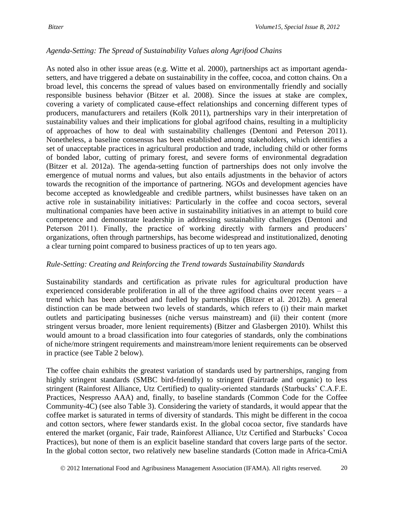# *Agenda-Setting: The Spread of Sustainability Values along Agrifood Chains*

As noted also in other issue areas (e.g. Witte et al. 2000), partnerships act as important agendasetters, and have triggered a debate on sustainability in the coffee, cocoa, and cotton chains. On a broad level, this concerns the spread of values based on environmentally friendly and socially responsible business behavior (Bitzer et al. 2008). Since the issues at stake are complex, covering a variety of complicated cause-effect relationships and concerning different types of producers, manufacturers and retailers (Kolk 2011), partnerships vary in their interpretation of sustainability values and their implications for global agrifood chains, resulting in a multiplicity of approaches of how to deal with sustainability challenges (Dentoni and Peterson 2011). Nonetheless, a baseline consensus has been established among stakeholders, which identifies a set of unacceptable practices in agricultural production and trade, including child or other forms of bonded labor, cutting of primary forest, and severe forms of environmental degradation (Bitzer et al. 2012a). The agenda-setting function of partnerships does not only involve the emergence of mutual norms and values, but also entails adjustments in the behavior of actors towards the recognition of the importance of partnering. NGOs and development agencies have become accepted as knowledgeable and credible partners, whilst businesses have taken on an active role in sustainability initiatives: Particularly in the coffee and cocoa sectors, several multinational companies have been active in sustainability initiatives in an attempt to build core competence and demonstrate leadership in addressing sustainability challenges (Dentoni and Peterson 2011). Finally, the practice of working directly with farmers and producers' organizations, often through partnerships, has become widespread and institutionalized, denoting a clear turning point compared to business practices of up to ten years ago.

# *Rule-Setting: Creating and Reinforcing the Trend towards Sustainability Standards*

Sustainability standards and certification as private rules for agricultural production have experienced considerable proliferation in all of the three agrifood chains over recent years – a trend which has been absorbed and fuelled by partnerships (Bitzer et al. 2012b). A general distinction can be made between two levels of standards, which refers to (i) their main market outlets and participating businesses (niche versus mainstream) and (ii) their content (more stringent versus broader, more lenient requirements) (Bitzer and Glasbergen 2010). Whilst this would amount to a broad classification into four categories of standards, only the combinations of niche/more stringent requirements and mainstream/more lenient requirements can be observed in practice (see Table 2 below).

The coffee chain exhibits the greatest variation of standards used by partnerships, ranging from highly stringent standards (SMBC bird-friendly) to stringent (Fairtrade and organic) to less stringent (Rainforest Alliance, Utz Certified) to quality-oriented standards (Starbucks' C.A.F.E. Practices, Nespresso AAA) and, finally, to baseline standards (Common Code for the Coffee Community-4C) (see also Table 3). Considering the variety of standards, it would appear that the coffee market is saturated in terms of diversity of standards. This might be different in the cocoa and cotton sectors, where fewer standards exist. In the global cocoa sector, five standards have entered the market (organic, Fair trade, Rainforest Alliance, Utz Certified and Starbucks' Cocoa Practices), but none of them is an explicit baseline standard that covers large parts of the sector. In the global cotton sector, two relatively new baseline standards (Cotton made in Africa-CmiA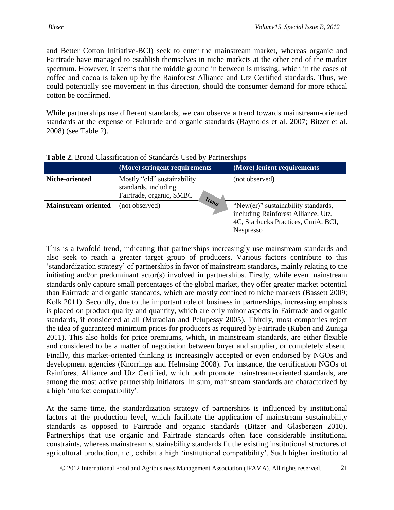and Better Cotton Initiative-BCI) seek to enter the mainstream market, whereas organic and Fairtrade have managed to establish themselves in niche markets at the other end of the market spectrum. However, it seems that the middle ground in between is missing, which in the cases of coffee and cocoa is taken up by the Rainforest Alliance and Utz Certified standards. Thus, we could potentially see movement in this direction, should the consumer demand for more ethical cotton be confirmed.

While partnerships use different standards, we can observe a trend towards mainstream-oriented standards at the expense of Fairtrade and organic standards (Raynolds et al. 2007; Bitzer et al. 2008) (see Table 2).

|                            | (More) stringent requirements                                                   | (More) lenient requirements                                                                                                           |
|----------------------------|---------------------------------------------------------------------------------|---------------------------------------------------------------------------------------------------------------------------------------|
| Niche-oriented             | Mostly "old" sustainability<br>standards, including<br>Fairtrade, organic, SMBC | (not observed)                                                                                                                        |
| <b>Mainstream-oriented</b> | Trend<br>(not observed)                                                         | "New(er)" sustainability standards,<br>including Rainforest Alliance, Utz,<br>4C, Starbucks Practices, CmiA, BCI,<br><b>Nespresso</b> |

### **Table 2.** Broad Classification of Standards Used by Partnerships

This is a twofold trend, indicating that partnerships increasingly use mainstream standards and also seek to reach a greater target group of producers. Various factors contribute to this 'standardization strategy' of partnerships in favor of mainstream standards, mainly relating to the initiating and/or predominant actor(s) involved in partnerships. Firstly, while even mainstream standards only capture small percentages of the global market, they offer greater market potential than Fairtrade and organic standards, which are mostly confined to niche markets (Bassett 2009; Kolk 2011). Secondly, due to the important role of business in partnerships, increasing emphasis is placed on product quality and quantity, which are only minor aspects in Fairtrade and organic standards, if considered at all (Muradian and Pelupessy 2005). Thirdly, most companies reject the idea of guaranteed minimum prices for producers as required by Fairtrade (Ruben and Zuniga 2011). This also holds for price premiums, which, in mainstream standards, are either flexible and considered to be a matter of negotiation between buyer and supplier, or completely absent. Finally, this market-oriented thinking is increasingly accepted or even endorsed by NGOs and development agencies (Knorringa and Helmsing 2008). For instance, the certification NGOs of Rainforest Alliance and Utz Certified, which both promote mainstream-oriented standards, are among the most active partnership initiators. In sum, mainstream standards are characterized by a high 'market compatibility'.

At the same time, the standardization strategy of partnerships is influenced by institutional factors at the production level, which facilitate the application of mainstream sustainability standards as opposed to Fairtrade and organic standards (Bitzer and Glasbergen 2010). Partnerships that use organic and Fairtrade standards often face considerable institutional constraints, whereas mainstream sustainability standards fit the existing institutional structures of agricultural production, i.e., exhibit a high 'institutional compatibility'. Such higher institutional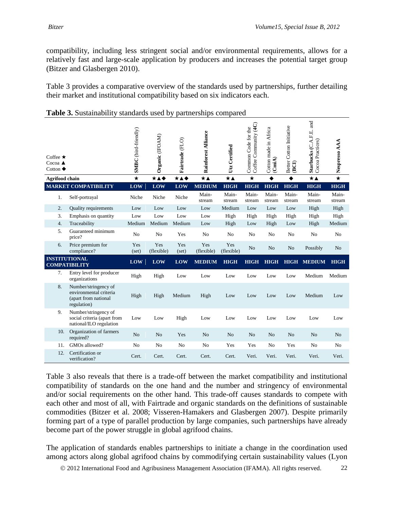compatibility, including less stringent social and/or environmental requirements, allows for a relatively fast and large-scale application by producers and increases the potential target group (Bitzer and Glasbergen 2010).

Table 3 provides a comparative overview of the standards used by partnerships, further detailing their market and institutional compatibility based on six indicators each.

|                                              | Coffee $\star$<br>$Cocoa$ $\triangle$<br>Cotton $\blacklozenge$ |                                                                                       | SMBC (bird-friendly) | Organic (IFOAM)   | Fairtrade (FLO)     | <b>Rainforest Alliance</b> | Utz Certified     | Coffee Community (4C)<br>Common Code for the | Cotton made in Africa<br>(CmiA) | Better Cotton Initiative<br>(BCI) | and<br>Starbucks (C.A.F.E.<br>Cocoa Practices) | Nespresso AAA      |
|----------------------------------------------|-----------------------------------------------------------------|---------------------------------------------------------------------------------------|----------------------|-------------------|---------------------|----------------------------|-------------------|----------------------------------------------|---------------------------------|-----------------------------------|------------------------------------------------|--------------------|
|                                              |                                                                 | <b>Agrifood</b> chain                                                                 | $\star$              | ***               | $\star\texttt{A}$ + | $\star\textbf{A}$          | $\star\textbf{A}$ | $\star$                                      |                                 |                                   | $\star\blacktriangle$                          | $\overline{\star}$ |
|                                              |                                                                 | <b>MARKET COMPATIBILITY</b>                                                           | <b>LOW</b>           | LOW               | LOW                 | <b>MEDIUM</b>              | <b>HIGH</b>       | <b>HIGH</b>                                  | <b>HIGH</b>                     | <b>HIGH</b>                       | <b>HIGH</b>                                    | <b>HIGH</b>        |
|                                              | 1.                                                              | Self-portrayal                                                                        | Niche                | Niche             | Niche               | Main-<br>stream            | Main-<br>stream   | Main-<br>stream                              | Main-<br>stream                 | Main-<br>stream                   | Main-<br>stream                                | Main-<br>stream    |
|                                              | 2.                                                              | <b>Quality requirements</b>                                                           | Low                  | Low               | Low                 | Low                        | Medium            | Low                                          | Low                             | Low                               | High                                           | High               |
|                                              | 3.                                                              | Emphasis on quantity                                                                  | Low                  | Low               | Low                 | Low                        | High              | High                                         | High                            | High                              | High                                           | High               |
|                                              | 4.                                                              | Traceability                                                                          | Medium               | Medium            | Medium              | Low                        | High              | Low                                          | High                            | Low                               | High                                           | Medium             |
|                                              | 5.                                                              | Guaranteed minimum<br>price?                                                          | N <sub>o</sub>       | N <sub>o</sub>    | Yes                 | N <sub>o</sub>             | N <sub>o</sub>    | N <sub>o</sub>                               | N <sub>o</sub>                  | N <sub>o</sub>                    | N <sub>o</sub>                                 | N <sub>o</sub>     |
|                                              | 6.                                                              | Price premium for<br>compliance?                                                      | Yes<br>(set)         | Yes<br>(flexible) | Yes<br>(set)        | Yes<br>(flexible)          | Yes<br>(flexible) | N <sub>o</sub>                               | No                              | N <sub>o</sub>                    | Possibly                                       | N <sub>o</sub>     |
| <b>INSTITUTIONAL</b><br><b>COMPATIBILITY</b> |                                                                 | <b>LOW</b>                                                                            | <b>LOW</b>           | LOW               | <b>MEDIUM</b>       | <b>HIGH</b>                | <b>HIGH</b>       | <b>HIGH</b>                                  | <b>HIGH</b>                     | <b>MEDIUM</b>                     | <b>HIGH</b>                                    |                    |
|                                              | 7.                                                              | Entry level for producer<br>organizations                                             | High                 | High              | Low                 | Low                        | Low               | Low                                          | Low                             | Low                               | Medium                                         | Medium             |
|                                              | 8.                                                              | Number/stringency of<br>environmental criteria<br>(apart from national<br>regulation) | High                 | High              | Medium              | High                       | Low               | Low                                          | Low                             | Low                               | Medium                                         | Low                |
|                                              | 9.                                                              | Number/stringency of<br>social criteria (apart from<br>national/ILO regulation        | Low                  | Low               | High                | Low                        | Low               | Low                                          | Low                             | Low                               | Low                                            | Low                |
|                                              | 10.                                                             | Organization of farmers<br>required?                                                  | No                   | No                | Yes                 | No                         | N <sub>o</sub>    | N <sub>o</sub>                               | No                              | No                                | No                                             | N <sub>o</sub>     |
|                                              | 11.                                                             | GMOs allowed?                                                                         | N <sub>0</sub>       | No                | N <sub>0</sub>      | N <sub>0</sub>             | Yes               | Yes                                          | N <sub>o</sub>                  | Yes                               | N <sub>o</sub>                                 | N <sub>o</sub>     |
|                                              | 12.                                                             | Certification or<br>verification?                                                     | Cert.                | Cert.             | Cert.               | Cert.                      | Cert.             | Veri.                                        | Veri.                           | Veri.                             | Veri.                                          | Veri.              |

| Table 3. Sustainability standards used by partnerships compared |  |  |
|-----------------------------------------------------------------|--|--|
|                                                                 |  |  |

Table 3 also reveals that there is a trade-off between the market compatibility and institutional compatibility of standards on the one hand and the number and stringency of environmental and/or social requirements on the other hand. This trade-off causes standards to compete with each other and most of all, with Fairtrade and organic standards on the definitions of sustainable commodities (Bitzer et al. 2008; Visseren-Hamakers and Glasbergen 2007). Despite primarily forming part of a type of parallel production by large companies, such partnerships have already become part of the power struggle in global agrifood chains.

The application of standards enables partnerships to initiate a change in the coordination used among actors along global agrifood chains by commodifying certain sustainability values (Lyon

2012 International Food and Agribusiness Management Association (IFAMA). All rights reserved. 22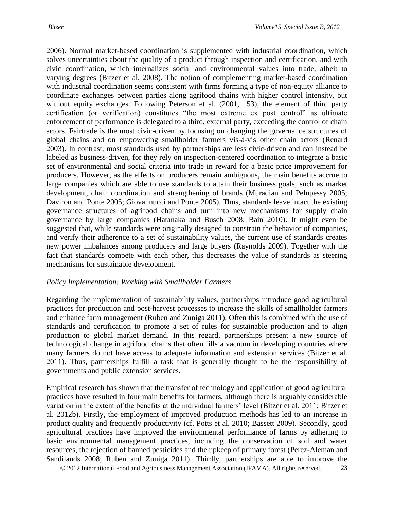2006). Normal market-based coordination is supplemented with industrial coordination, which solves uncertainties about the quality of a product through inspection and certification, and with civic coordination, which internalizes social and environmental values into trade, albeit to varying degrees (Bitzer et al. 2008). The notion of complementing market-based coordination with industrial coordination seems consistent with firms forming a type of non-equity alliance to coordinate exchanges between parties along agrifood chains with higher control intensity, but without equity exchanges. Following Peterson et al. (2001, 153), the element of third party certification (or verification) constitutes "the most extreme ex post control" as ultimate enforcement of performance is delegated to a third, external party, exceeding the control of chain actors. Fairtrade is the most civic-driven by focusing on changing the governance structures of global chains and on empowering smallholder farmers vis-à-vis other chain actors (Renard 2003). In contrast, most standards used by partnerships are less civic-driven and can instead be labeled as business-driven, for they rely on inspection-centered coordination to integrate a basic set of environmental and social criteria into trade in reward for a basic price improvement for producers. However, as the effects on producers remain ambiguous, the main benefits accrue to large companies which are able to use standards to attain their business goals, such as market development, chain coordination and strengthening of brands (Muradian and Pelupessy 2005; Daviron and Ponte 2005; Giovannucci and Ponte 2005). Thus, standards leave intact the existing governance structures of agrifood chains and turn into new mechanisms for supply chain governance by large companies (Hatanaka and Busch 2008; Bain 2010). It might even be suggested that, while standards were originally designed to constrain the behavior of companies, and verify their adherence to a set of sustainability values, the current use of standards creates new power imbalances among producers and large buyers (Raynolds 2009). Together with the fact that standards compete with each other, this decreases the value of standards as steering mechanisms for sustainable development.

#### *Policy Implementation: Working with Smallholder Farmers*

Regarding the implementation of sustainability values, partnerships introduce good agricultural practices for production and post-harvest processes to increase the skills of smallholder farmers and enhance farm management (Ruben and Zuniga 2011). Often this is combined with the use of standards and certification to promote a set of rules for sustainable production and to align production to global market demand. In this regard, partnerships present a new source of technological change in agrifood chains that often fills a vacuum in developing countries where many farmers do not have access to adequate information and extension services (Bitzer et al. 2011). Thus, partnerships fulfill a task that is generally thought to be the responsibility of governments and public extension services.

Empirical research has shown that the transfer of technology and application of good agricultural practices have resulted in four main benefits for farmers, although there is arguably considerable variation in the extent of the benefits at the individual farmers' level (Bitzer et al. 2011; Bitzer et al. 2012b). Firstly, the employment of improved production methods has led to an increase in product quality and frequently productivity (cf. Potts et al. 2010; Bassett 2009). Secondly, good agricultural practices have improved the environmental performance of farms by adhering to basic environmental management practices, including the conservation of soil and water resources, the rejection of banned pesticides and the upkeep of primary forest (Perez-Aleman and Sandilands 2008; Ruben and Zuniga 2011). Thirdly, partnerships are able to improve the

2012 International Food and Agribusiness Management Association (IFAMA). All rights reserved. 23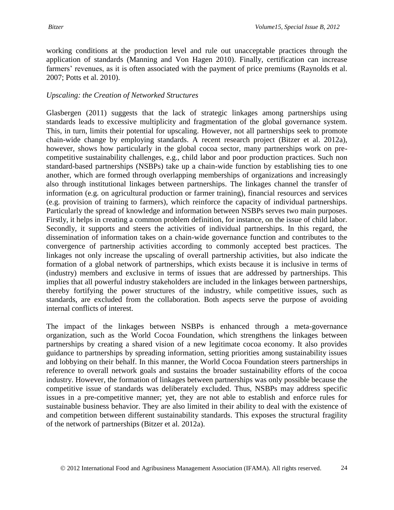working conditions at the production level and rule out unacceptable practices through the application of standards (Manning and Von Hagen 2010). Finally, certification can increase farmers' revenues, as it is often associated with the payment of price premiums (Raynolds et al. 2007; Potts et al. 2010).

#### *Upscaling: the Creation of Networked Structures*

Glasbergen (2011) suggests that the lack of strategic linkages among partnerships using standards leads to excessive multiplicity and fragmentation of the global governance system. This, in turn, limits their potential for upscaling. However, not all partnerships seek to promote chain-wide change by employing standards. A recent research project (Bitzer et al. 2012a), however, shows how particularly in the global cocoa sector, many partnerships work on precompetitive sustainability challenges, e.g., child labor and poor production practices. Such non standard-based partnerships (NSBPs) take up a chain-wide function by establishing ties to one another, which are formed through overlapping memberships of organizations and increasingly also through institutional linkages between partnerships. The linkages channel the transfer of information (e.g. on agricultural production or farmer training), financial resources and services (e.g. provision of training to farmers), which reinforce the capacity of individual partnerships. Particularly the spread of knowledge and information between NSBPs serves two main purposes. Firstly, it helps in creating a common problem definition, for instance, on the issue of child labor. Secondly, it supports and steers the activities of individual partnerships. In this regard, the dissemination of information takes on a chain-wide governance function and contributes to the convergence of partnership activities according to commonly accepted best practices. The linkages not only increase the upscaling of overall partnership activities, but also indicate the formation of a global network of partnerships, which exists because it is inclusive in terms of (industry) members and exclusive in terms of issues that are addressed by partnerships. This implies that all powerful industry stakeholders are included in the linkages between partnerships, thereby fortifying the power structures of the industry, while competitive issues, such as standards, are excluded from the collaboration. Both aspects serve the purpose of avoiding internal conflicts of interest.

The impact of the linkages between NSBPs is enhanced through a meta-governance organization, such as the World Cocoa Foundation, which strengthens the linkages between partnerships by creating a shared vision of a new legitimate cocoa economy. It also provides guidance to partnerships by spreading information, setting priorities among sustainability issues and lobbying on their behalf. In this manner, the World Cocoa Foundation steers partnerships in reference to overall network goals and sustains the broader sustainability efforts of the cocoa industry. However, the formation of linkages between partnerships was only possible because the competitive issue of standards was deliberately excluded. Thus, NSBPs may address specific issues in a pre-competitive manner; yet, they are not able to establish and enforce rules for sustainable business behavior. They are also limited in their ability to deal with the existence of and competition between different sustainability standards. This exposes the structural fragility of the network of partnerships (Bitzer et al. 2012a).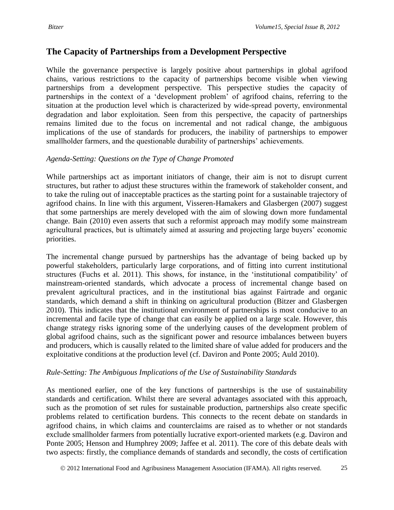# **The Capacity of Partnerships from a Development Perspective**

While the governance perspective is largely positive about partnerships in global agrifood chains, various restrictions to the capacity of partnerships become visible when viewing partnerships from a development perspective. This perspective studies the capacity of partnerships in the context of a 'development problem' of agrifood chains, referring to the situation at the production level which is characterized by wide-spread poverty, environmental degradation and labor exploitation. Seen from this perspective, the capacity of partnerships remains limited due to the focus on incremental and not radical change, the ambiguous implications of the use of standards for producers, the inability of partnerships to empower smallholder farmers, and the questionable durability of partnerships' achievements.

# *Agenda-Setting: Questions on the Type of Change Promoted*

While partnerships act as important initiators of change, their aim is not to disrupt current structures, but rather to adjust these structures within the framework of stakeholder consent, and to take the ruling out of inacceptable practices as the starting point for a sustainable trajectory of agrifood chains. In line with this argument, Visseren-Hamakers and Glasbergen (2007) suggest that some partnerships are merely developed with the aim of slowing down more fundamental change. Bain (2010) even asserts that such a reformist approach may modify some mainstream agricultural practices, but is ultimately aimed at assuring and projecting large buyers' economic priorities.

The incremental change pursued by partnerships has the advantage of being backed up by powerful stakeholders, particularly large corporations, and of fitting into current institutional structures (Fuchs et al. 2011). This shows, for instance, in the 'institutional compatibility' of mainstream-oriented standards, which advocate a process of incremental change based on prevalent agricultural practices, and in the institutional bias against Fairtrade and organic standards, which demand a shift in thinking on agricultural production (Bitzer and Glasbergen 2010). This indicates that the institutional environment of partnerships is most conducive to an incremental and facile type of change that can easily be applied on a large scale. However, this change strategy risks ignoring some of the underlying causes of the development problem of global agrifood chains, such as the significant power and resource imbalances between buyers and producers, which is causally related to the limited share of value added for producers and the exploitative conditions at the production level (cf. Daviron and Ponte 2005; Auld 2010).

# *Rule-Setting: The Ambiguous Implications of the Use of Sustainability Standards*

As mentioned earlier, one of the key functions of partnerships is the use of sustainability standards and certification. Whilst there are several advantages associated with this approach, such as the promotion of set rules for sustainable production, partnerships also create specific problems related to certification burdens. This connects to the recent debate on standards in agrifood chains, in which claims and counterclaims are raised as to whether or not standards exclude smallholder farmers from potentially lucrative export-oriented markets (e.g. Daviron and Ponte 2005; Henson and Humphrey 2009; Jaffee et al. 2011). The core of this debate deals with two aspects: firstly, the compliance demands of standards and secondly, the costs of certification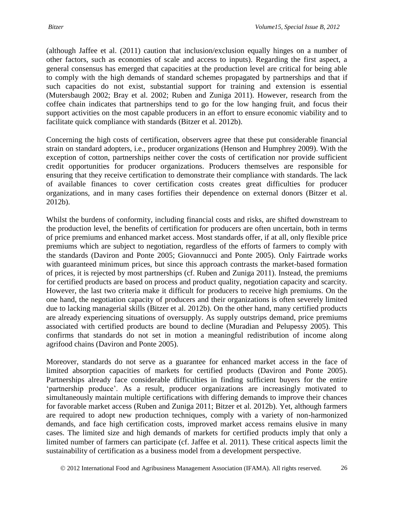(although Jaffee et al. (2011) caution that inclusion/exclusion equally hinges on a number of other factors, such as economies of scale and access to inputs). Regarding the first aspect, a general consensus has emerged that capacities at the production level are critical for being able to comply with the high demands of standard schemes propagated by partnerships and that if such capacities do not exist, substantial support for training and extension is essential (Mutersbaugh 2002; Bray et al. 2002; Ruben and Zuniga 2011). However, research from the coffee chain indicates that partnerships tend to go for the low hanging fruit, and focus their support activities on the most capable producers in an effort to ensure economic viability and to facilitate quick compliance with standards (Bitzer et al. 2012b).

Concerning the high costs of certification, observers agree that these put considerable financial strain on standard adopters, i.e., producer organizations (Henson and Humphrey 2009). With the exception of cotton, partnerships neither cover the costs of certification nor provide sufficient credit opportunities for producer organizations. Producers themselves are responsible for ensuring that they receive certification to demonstrate their compliance with standards. The lack of available finances to cover certification costs creates great difficulties for producer organizations, and in many cases fortifies their dependence on external donors (Bitzer et al. 2012b).

Whilst the burdens of conformity, including financial costs and risks, are shifted downstream to the production level, the benefits of certification for producers are often uncertain, both in terms of price premiums and enhanced market access. Most standards offer, if at all, only flexible price premiums which are subject to negotiation, regardless of the efforts of farmers to comply with the standards (Daviron and Ponte 2005; Giovannucci and Ponte 2005). Only Fairtrade works with guaranteed minimum prices, but since this approach contrasts the market-based formation of prices, it is rejected by most partnerships (cf. Ruben and Zuniga 2011). Instead, the premiums for certified products are based on process and product quality, negotiation capacity and scarcity. However, the last two criteria make it difficult for producers to receive high premiums. On the one hand, the negotiation capacity of producers and their organizations is often severely limited due to lacking managerial skills (Bitzer et al. 2012b). On the other hand, many certified products are already experiencing situations of oversupply. As supply outstrips demand, price premiums associated with certified products are bound to decline (Muradian and Pelupessy 2005). This confirms that standards do not set in motion a meaningful redistribution of income along agrifood chains (Daviron and Ponte 2005).

Moreover, standards do not serve as a guarantee for enhanced market access in the face of limited absorption capacities of markets for certified products (Daviron and Ponte 2005). Partnerships already face considerable difficulties in finding sufficient buyers for the entire 'partnership produce'. As a result, producer organizations are increasingly motivated to simultaneously maintain multiple certifications with differing demands to improve their chances for favorable market access (Ruben and Zuniga 2011; Bitzer et al. 2012b). Yet, although farmers are required to adopt new production techniques, comply with a variety of non-harmonized demands, and face high certification costs, improved market access remains elusive in many cases. The limited size and high demands of markets for certified products imply that only a limited number of farmers can participate (cf. Jaffee et al. 2011). These critical aspects limit the sustainability of certification as a business model from a development perspective.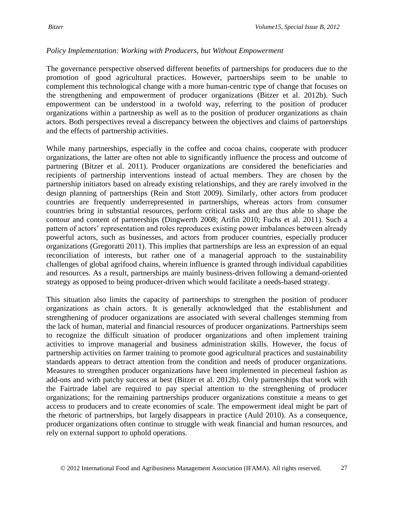### *Policy Implementation: Working with Producers, but Without Empowerment*

The governance perspective observed different benefits of partnerships for producers due to the promotion of good agricultural practices. However, partnerships seem to be unable to complement this technological change with a more human-centric type of change that focuses on the strengthening and empowerment of producer organizations (Bitzer et al. 2012b). Such empowerment can be understood in a twofold way, referring to the position of producer organizations within a partnership as well as to the position of producer organizations as chain actors. Both perspectives reveal a discrepancy between the objectives and claims of partnerships and the effects of partnership activities.

While many partnerships, especially in the coffee and cocoa chains, cooperate with producer organizations, the latter are often not able to significantly influence the process and outcome of partnering (Bitzer et al. 2011). Producer organizations are considered the beneficiaries and recipients of partnership interventions instead of actual members. They are chosen by the partnership initiators based on already existing relationships, and they are rarely involved in the design planning of partnerships (Rein and Stott 2009). Similarly, other actors from producer countries are frequently underrepresented in partnerships, whereas actors from consumer countries bring in substantial resources, perform critical tasks and are thus able to shape the contour and content of partnerships (Dingwerth 2008; Arifin 2010; Fuchs et al. 2011). Such a pattern of actors' representation and roles reproduces existing power imbalances between already powerful actors, such as businesses, and actors from producer countries, especially producer organizations (Gregoratti 2011). This implies that partnerships are less an expression of an equal reconciliation of interests, but rather one of a managerial approach to the sustainability challenges of global agrifood chains, wherein influence is granted through individual capabilities and resources. As a result, partnerships are mainly business-driven following a demand-oriented strategy as opposed to being producer-driven which would facilitate a needs-based strategy.

This situation also limits the capacity of partnerships to strengthen the position of producer organizations as chain actors. It is generally acknowledged that the establishment and strengthening of producer organizations are associated with several challenges stemming from the lack of human, material and financial resources of producer organizations. Partnerships seem to recognize the difficult situation of producer organizations and often implement training activities to improve managerial and business administration skills. However, the focus of partnership activities on farmer training to promote good agricultural practices and sustainability standards appears to detract attention from the condition and needs of producer organizations. Measures to strengthen producer organizations have been implemented in piecemeal fashion as add-ons and with patchy success at best (Bitzer et al. 2012b). Only partnerships that work with the Fairtrade label are required to pay special attention to the strengthening of producer organizations; for the remaining partnerships producer organizations constitute a means to get access to producers and to create economies of scale. The empowerment ideal might be part of the rhetoric of partnerships, but largely disappears in practice (Auld 2010). As a consequence, producer organizations often continue to struggle with weak financial and human resources, and rely on external support to uphold operations.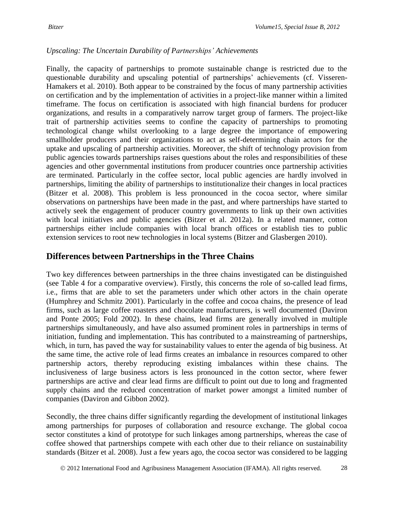# *Upscaling: The Uncertain Durability of Partnerships' Achievements*

Finally, the capacity of partnerships to promote sustainable change is restricted due to the questionable durability and upscaling potential of partnerships' achievements (cf. Visseren-Hamakers et al. 2010). Both appear to be constrained by the focus of many partnership activities on certification and by the implementation of activities in a project-like manner within a limited timeframe. The focus on certification is associated with high financial burdens for producer organizations, and results in a comparatively narrow target group of farmers. The project-like trait of partnership activities seems to confine the capacity of partnerships to promoting technological change whilst overlooking to a large degree the importance of empowering smallholder producers and their organizations to act as self-determining chain actors for the uptake and upscaling of partnership activities. Moreover, the shift of technology provision from public agencies towards partnerships raises questions about the roles and responsibilities of these agencies and other governmental institutions from producer countries once partnership activities are terminated. Particularly in the coffee sector, local public agencies are hardly involved in partnerships, limiting the ability of partnerships to institutionalize their changes in local practices (Bitzer et al. 2008). This problem is less pronounced in the cocoa sector, where similar observations on partnerships have been made in the past, and where partnerships have started to actively seek the engagement of producer country governments to link up their own activities with local initiatives and public agencies (Bitzer et al. 2012a). In a related manner, cotton partnerships either include companies with local branch offices or establish ties to public extension services to root new technologies in local systems (Bitzer and Glasbergen 2010).

# **Differences between Partnerships in the Three Chains**

Two key differences between partnerships in the three chains investigated can be distinguished (see Table 4 for a comparative overview). Firstly, this concerns the role of so-called lead firms, i.e., firms that are able to set the parameters under which other actors in the chain operate (Humphrey and Schmitz 2001). Particularly in the coffee and cocoa chains, the presence of lead firms, such as large coffee roasters and chocolate manufacturers, is well documented (Daviron and Ponte 2005; Fold 2002). In these chains, lead firms are generally involved in multiple partnerships simultaneously, and have also assumed prominent roles in partnerships in terms of initiation, funding and implementation. This has contributed to a mainstreaming of partnerships, which, in turn, has paved the way for sustainability values to enter the agenda of big business. At the same time, the active role of lead firms creates an imbalance in resources compared to other partnership actors, thereby reproducing existing imbalances within these chains. The inclusiveness of large business actors is less pronounced in the cotton sector, where fewer partnerships are active and clear lead firms are difficult to point out due to long and fragmented supply chains and the reduced concentration of market power amongst a limited number of companies (Daviron and Gibbon 2002).

Secondly, the three chains differ significantly regarding the development of institutional linkages among partnerships for purposes of collaboration and resource exchange. The global cocoa sector constitutes a kind of prototype for such linkages among partnerships, whereas the case of coffee showed that partnerships compete with each other due to their reliance on sustainability standards (Bitzer et al. 2008). Just a few years ago, the cocoa sector was considered to be lagging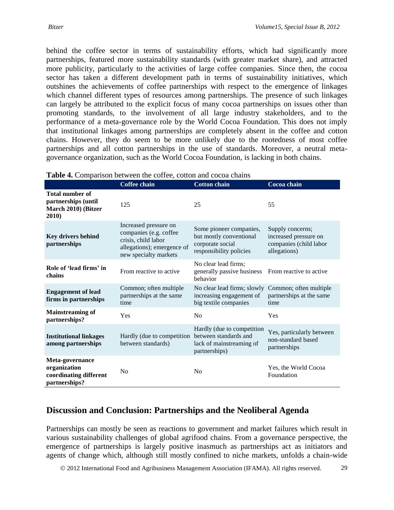behind the coffee sector in terms of sustainability efforts, which had significantly more partnerships, featured more sustainability standards (with greater market share), and attracted more publicity, particularly to the activities of large coffee companies. Since then, the cocoa sector has taken a different development path in terms of sustainability initiatives, which outshines the achievements of coffee partnerships with respect to the emergence of linkages which channel different types of resources among partnerships. The presence of such linkages can largely be attributed to the explicit focus of many cocoa partnerships on issues other than promoting standards, to the involvement of all large industry stakeholders, and to the performance of a meta-governance role by the World Cocoa Foundation. This does not imply that institutional linkages among partnerships are completely absent in the coffee and cotton chains. However, they do seem to be more unlikely due to the rootedness of most coffee partnerships and all cotton partnerships in the use of standards. Moreover, a neutral metagovernance organization, such as the World Cocoa Foundation, is lacking in both chains.

| <b>radic +.</b> Comparison between the correct cotton and cocoa chains        |                                                                                                                               |                                                                                                   |                                                                                     |  |  |  |  |  |
|-------------------------------------------------------------------------------|-------------------------------------------------------------------------------------------------------------------------------|---------------------------------------------------------------------------------------------------|-------------------------------------------------------------------------------------|--|--|--|--|--|
|                                                                               | <b>Coffee chain</b>                                                                                                           | <b>Cotton chain</b>                                                                               | Cocoa chain                                                                         |  |  |  |  |  |
| <b>Total number of</b><br>partnerships (until<br>March 2010) (Bitzer<br>2010) | 125                                                                                                                           | 25                                                                                                | 55                                                                                  |  |  |  |  |  |
| <b>Key drivers behind</b><br>partnerships                                     | Increased pressure on<br>companies (e.g. coffee<br>crisis, child labor<br>allegations); emergence of<br>new specialty markets | Some pioneer companies,<br>but mostly conventional<br>corporate social<br>responsibility policies | Supply concerns;<br>increased pressure on<br>companies (child labor<br>allegations) |  |  |  |  |  |
| Role of 'lead firms' in<br>chains                                             | From reactive to active                                                                                                       | No clear lead firms;<br>generally passive business<br>behavior                                    | From reactive to active                                                             |  |  |  |  |  |
| <b>Engagement of lead</b><br>firms in partnerships                            | Common; often multiple<br>partnerships at the same<br>time                                                                    | No clear lead firms; slowly<br>increasing engagement of<br>big textile companies                  | Common; often multiple<br>partnerships at the same<br>time                          |  |  |  |  |  |
| <b>Mainstreaming of</b><br>partnerships?                                      | Yes                                                                                                                           | N <sub>0</sub>                                                                                    | Yes                                                                                 |  |  |  |  |  |
| <b>Institutional linkages</b><br>among partnerships                           | Hardly (due to competition<br>between standards)                                                                              | Hardly (due to competition<br>between standards and<br>lack of mainstreaming of<br>partnerships)  | Yes, particularly between<br>non-standard based<br>partnerships                     |  |  |  |  |  |
| Meta-governance<br>organization<br>coordinating different<br>partnerships?    | N <sub>0</sub>                                                                                                                | N <sub>o</sub>                                                                                    | Yes, the World Cocoa<br>Foundation                                                  |  |  |  |  |  |

#### **Table 4.** Comparison between the coffee, cotton and cocoa chains

# **Discussion and Conclusion: Partnerships and the Neoliberal Agenda**

Partnerships can mostly be seen as reactions to government and market failures which result in various sustainability challenges of global agrifood chains. From a governance perspective, the emergence of partnerships is largely positive inasmuch as partnerships act as initiators and agents of change which, although still mostly confined to niche markets, unfolds a chain-wide

2012 International Food and Agribusiness Management Association (IFAMA). All rights reserved. 29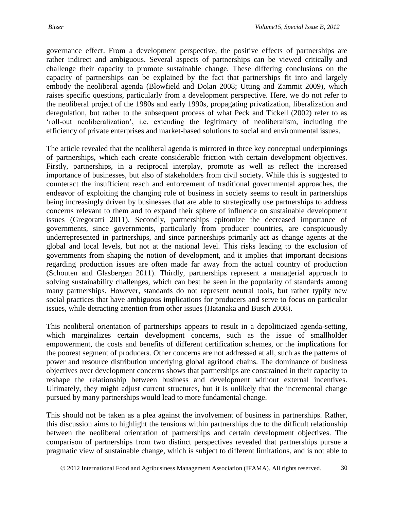governance effect. From a development perspective, the positive effects of partnerships are rather indirect and ambiguous. Several aspects of partnerships can be viewed critically and challenge their capacity to promote sustainable change. These differing conclusions on the capacity of partnerships can be explained by the fact that partnerships fit into and largely embody the neoliberal agenda (Blowfield and Dolan 2008; Utting and Zammit 2009), which raises specific questions, particularly from a development perspective. Here, we do not refer to the neoliberal project of the 1980s and early 1990s, propagating privatization, liberalization and deregulation, but rather to the subsequent process of what Peck and Tickell (2002) refer to as 'roll-out neoliberalization', i.e. extending the legitimacy of neoliberalism, including the efficiency of private enterprises and market-based solutions to social and environmental issues.

The article revealed that the neoliberal agenda is mirrored in three key conceptual underpinnings of partnerships, which each create considerable friction with certain development objectives. Firstly, partnerships, in a reciprocal interplay, promote as well as reflect the increased importance of businesses, but also of stakeholders from civil society. While this is suggested to counteract the insufficient reach and enforcement of traditional governmental approaches, the endeavor of exploiting the changing role of business in society seems to result in partnerships being increasingly driven by businesses that are able to strategically use partnerships to address concerns relevant to them and to expand their sphere of influence on sustainable development issues (Gregoratti 2011). Secondly, partnerships epitomize the decreased importance of governments, since governments, particularly from producer countries, are conspicuously underrepresented in partnerships, and since partnerships primarily act as change agents at the global and local levels, but not at the national level. This risks leading to the exclusion of governments from shaping the notion of development, and it implies that important decisions regarding production issues are often made far away from the actual country of production (Schouten and Glasbergen 2011). Thirdly, partnerships represent a managerial approach to solving sustainability challenges, which can best be seen in the popularity of standards among many partnerships. However, standards do not represent neutral tools, but rather typify new social practices that have ambiguous implications for producers and serve to focus on particular issues, while detracting attention from other issues (Hatanaka and Busch 2008).

This neoliberal orientation of partnerships appears to result in a depoliticized agenda-setting, which marginalizes certain development concerns, such as the issue of smallholder empowerment, the costs and benefits of different certification schemes, or the implications for the poorest segment of producers. Other concerns are not addressed at all, such as the patterns of power and resource distribution underlying global agrifood chains. The dominance of business objectives over development concerns shows that partnerships are constrained in their capacity to reshape the relationship between business and development without external incentives. Ultimately, they might adjust current structures, but it is unlikely that the incremental change pursued by many partnerships would lead to more fundamental change.

This should not be taken as a plea against the involvement of business in partnerships. Rather, this discussion aims to highlight the tensions within partnerships due to the difficult relationship between the neoliberal orientation of partnerships and certain development objectives. The comparison of partnerships from two distinct perspectives revealed that partnerships pursue a pragmatic view of sustainable change, which is subject to different limitations, and is not able to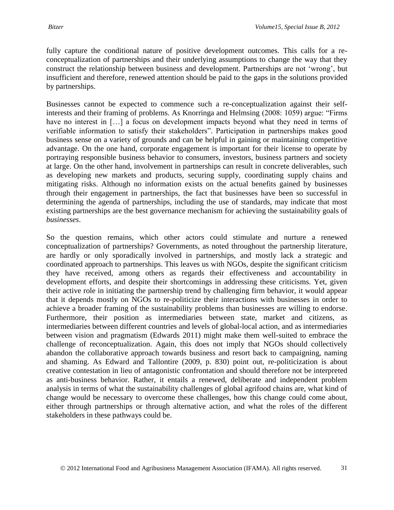fully capture the conditional nature of positive development outcomes. This calls for a reconceptualization of partnerships and their underlying assumptions to change the way that they construct the relationship between business and development. Partnerships are not 'wrong', but insufficient and therefore, renewed attention should be paid to the gaps in the solutions provided by partnerships.

Businesses cannot be expected to commence such a re-conceptualization against their selfinterests and their framing of problems. As Knorringa and Helmsing (2008: 1059) argue: "Firms have no interest in [...] a focus on development impacts beyond what they need in terms of verifiable information to satisfy their stakeholders". Participation in partnerships makes good business sense on a variety of grounds and can be helpful in gaining or maintaining competitive advantage. On the one hand, corporate engagement is important for their license to operate by portraying responsible business behavior to consumers, investors, business partners and society at large. On the other hand, involvement in partnerships can result in concrete deliverables, such as developing new markets and products, securing supply, coordinating supply chains and mitigating risks. Although no information exists on the actual benefits gained by businesses through their engagement in partnerships, the fact that businesses have been so successful in determining the agenda of partnerships, including the use of standards, may indicate that most existing partnerships are the best governance mechanism for achieving the sustainability goals of *businesses*.

So the question remains, which other actors could stimulate and nurture a renewed conceptualization of partnerships? Governments, as noted throughout the partnership literature, are hardly or only sporadically involved in partnerships, and mostly lack a strategic and coordinated approach to partnerships. This leaves us with NGOs, despite the significant criticism they have received, among others as regards their effectiveness and accountability in development efforts, and despite their shortcomings in addressing these criticisms. Yet, given their active role in initiating the partnership trend by challenging firm behavior, it would appear that it depends mostly on NGOs to re-politicize their interactions with businesses in order to achieve a broader framing of the sustainability problems than businesses are willing to endorse. Furthermore, their position as intermediaries between state, market and citizens, as intermediaries between different countries and levels of global-local action, and as intermediaries between vision and pragmatism (Edwards 2011) might make them well-suited to embrace the challenge of reconceptualization. Again, this does not imply that NGOs should collectively abandon the collaborative approach towards business and resort back to campaigning, naming and shaming. As Edward and Tallontire (2009, p. 830) point out, re-politicization is about creative contestation in lieu of antagonistic confrontation and should therefore not be interpreted as anti-business behavior. Rather, it entails a renewed, deliberate and independent problem analysis in terms of what the sustainability challenges of global agrifood chains are, what kind of change would be necessary to overcome these challenges, how this change could come about, either through partnerships or through alternative action, and what the roles of the different stakeholders in these pathways could be.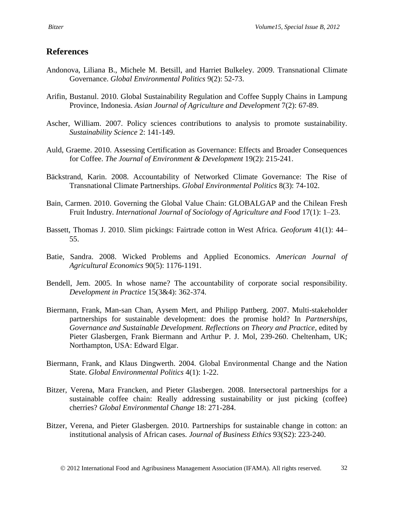# **References**

- Andonova, Liliana B., Michele M. Betsill, and Harriet Bulkeley. 2009. Transnational Climate Governance. *Global Environmental Politics* 9(2): 52-73.
- Arifin, Bustanul. 2010. Global Sustainability Regulation and Coffee Supply Chains in Lampung Province, Indonesia. *Asian Journal of Agriculture and Development* 7(2): 67-89.
- Ascher, William. 2007. Policy sciences contributions to analysis to promote sustainability. *Sustainability Science* 2: 141-149.
- Auld, Graeme. 2010. Assessing Certification as Governance: Effects and Broader Consequences for Coffee. *The Journal of Environment & Development* 19(2): 215-241.
- Bäckstrand, Karin. 2008. Accountability of Networked Climate Governance: The Rise of Transnational Climate Partnerships. *Global Environmental Politics* 8(3): 74-102.
- Bain, Carmen. 2010. Governing the Global Value Chain: GLOBALGAP and the Chilean Fresh Fruit Industry. *International Journal of Sociology of Agriculture and Food* 17(1): 1–23.
- Bassett, Thomas J. 2010. Slim pickings: Fairtrade cotton in West Africa. *Geoforum* 41(1): 44– 55.
- Batie, Sandra. 2008. Wicked Problems and Applied Economics. *American Journal of Agricultural Economics* 90(5): 1176-1191.
- Bendell, Jem. 2005. In whose name? The accountability of corporate social responsibility. *Development in Practice* 15(3&4): 362-374.
- Biermann, Frank, Man-san Chan, Aysem Mert, and Philipp Pattberg. 2007. Multi-stakeholder partnerships for sustainable development: does the promise hold? In *Partnerships, Governance and Sustainable Development. Reflections on Theory and Practice*, edited by Pieter Glasbergen, Frank Biermann and Arthur P. J. Mol, 239-260. Cheltenham, UK; Northampton, USA: Edward Elgar.
- Biermann, Frank, and Klaus Dingwerth. 2004. Global Environmental Change and the Nation State. *Global Environmental Politics* 4(1): 1-22.
- Bitzer, Verena, Mara Francken, and Pieter Glasbergen. 2008. Intersectoral partnerships for a sustainable coffee chain: Really addressing sustainability or just picking (coffee) cherries? *Global Environmental Change* 18: 271-284.
- Bitzer, Verena, and Pieter Glasbergen. 2010. Partnerships for sustainable change in cotton: an institutional analysis of African cases. *Journal of Business Ethics* 93(S2): 223-240.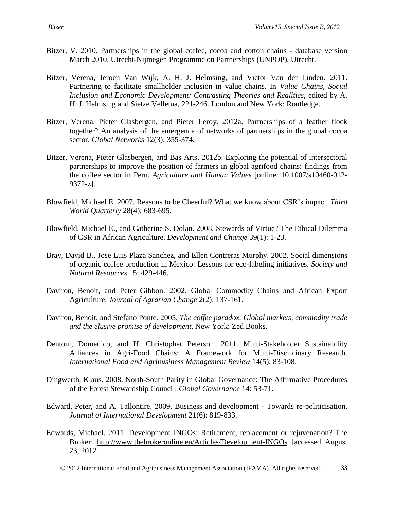- Bitzer, V. 2010. Partnerships in the global coffee, cocoa and cotton chains database version March 2010. Utrecht-Nijmegen Programme on Partnerships (UNPOP), Utrecht.
- Bitzer, Verena, Jeroen Van Wijk, A. H. J. Helmsing, and Victor Van der Linden. 2011. Partnering to facilitate smallholder inclusion in value chains. In *Value Chains, Social Inclusion and Economic Development: Contrasting Theories and Realities*, edited by A. H. J. Helmsing and Sietze Vellema, 221-246. London and New York: Routledge.
- Bitzer, Verena, Pieter Glasbergen, and Pieter Leroy. 2012a. Partnerships of a feather flock together? An analysis of the emergence of networks of partnerships in the global cocoa sector. *Global Networks* 12(3): 355-374.
- Bitzer, Verena, Pieter Glasbergen, and Bas Arts. 2012b. Exploring the potential of intersectoral partnerships to improve the position of farmers in global agrifood chains: findings from the coffee sector in Peru. *Agriculture and Human Values* [online: 10.1007/s10460-012- 9372-z].
- Blowfield, Michael E. 2007. Reasons to be Cheerful? What we know about CSR's impact. *Third World Quarterly* 28(4): 683-695.
- Blowfield, Michael E., and Catherine S. Dolan. 2008. Stewards of Virtue? The Ethical Dilemma of CSR in African Agriculture. *Development and Change* 39(1): 1-23.
- Bray, David B., Jose Luis Plaza Sanchez, and Ellen Contreras Murphy. 2002. Social dimensions of organic coffee production in Mexico: Lessons for eco-labeling initiatives. *Society and Natural Resources* 15: 429-446.
- Daviron, Benoit, and Peter Gibbon. 2002. Global Commodity Chains and African Export Agriculture. *Journal of Agrarian Change* 2(2): 137-161.
- Daviron, Benoit, and Stefano Ponte. 2005. *The coffee paradox. Global markets, commodity trade and the elusive promise of development*. New York: Zed Books.
- Dentoni, Domenico, and H. Christopher Peterson. 2011. Multi-Stakeholder Sustainability Alliances in Agri-Food Chains: A Framework for Multi-Disciplinary Research. *International Food and Agribusiness Management Review* 14(5): 83-108.
- Dingwerth, Klaus. 2008. North-South Parity in Global Governance: The Affirmative Procedures of the Forest Stewardship Council. *Global Governance* 14: 53-71.
- Edward, Peter, and A. Tallontire. 2009. Business and development Towards re-politicisation. *Journal of International Development* 21(6): 819-833.
- Edwards, Michael. 2011. Development INGOs: Retirement, replacement or rejuvenation? The Broker: <http://www.thebrokeronline.eu/Articles/Development-INGOs> [accessed August 23, 2012].
	- 2012 International Food and Agribusiness Management Association (IFAMA). All rights reserved. 33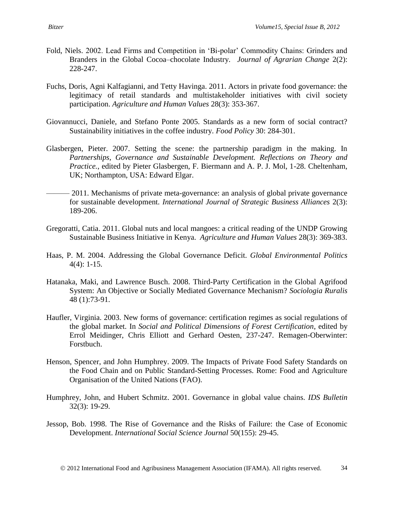- Fold, Niels. 2002. Lead Firms and Competition in 'Bi-polar' Commodity Chains: Grinders and Branders in the Global Cocoa–chocolate Industry. *Journal of Agrarian Change* 2(2): 228-247.
- Fuchs, Doris, Agni Kalfagianni, and Tetty Havinga. 2011. Actors in private food governance: the legitimacy of retail standards and multistakeholder initiatives with civil society participation. *Agriculture and Human Values* 28(3): 353-367.
- Giovannucci, Daniele, and Stefano Ponte 2005. Standards as a new form of social contract? Sustainability initiatives in the coffee industry. *Food Policy* 30: 284-301.
- Glasbergen, Pieter. 2007. Setting the scene: the partnership paradigm in the making. In *Partnerships, Governance and Sustainable Development. Reflections on Theory and Practice.*, edited by Pieter Glasbergen, F. Biermann and A. P. J. Mol, 1-28. Cheltenham, UK; Northampton, USA: Edward Elgar.
- 2011. Mechanisms of private meta-governance: an analysis of global private governance for sustainable development. *International Journal of Strategic Business Alliances* 2(3): 189-206.
- Gregoratti, Catia. 2011. Global nuts and local mangoes: a critical reading of the UNDP Growing Sustainable Business Initiative in Kenya. *Agriculture and Human Values* 28(3): 369-383.
- Haas, P. M. 2004. Addressing the Global Governance Deficit. *Global Environmental Politics*  4(4): 1-15.
- Hatanaka, Maki, and Lawrence Busch. 2008. Third-Party Certification in the Global Agrifood System: An Objective or Socially Mediated Governance Mechanism? *Sociologia Ruralis* 48 (1):73-91.
- Haufler, Virginia. 2003. New forms of governance: certification regimes as social regulations of the global market. In *Social and Political Dimensions of Forest Certification*, edited by Errol Meidinger, Chris Elliott and Gerhard Oesten, 237-247. Remagen-Oberwinter: Forstbuch.
- Henson, Spencer, and John Humphrey. 2009. The Impacts of Private Food Safety Standards on the Food Chain and on Public Standard-Setting Processes. Rome: Food and Agriculture Organisation of the United Nations (FAO).
- Humphrey, John, and Hubert Schmitz. 2001. Governance in global value chains. *IDS Bulletin* 32(3): 19-29.
- Jessop, Bob. 1998. The Rise of Governance and the Risks of Failure: the Case of Economic Development. *International Social Science Journal* 50(155): 29-45.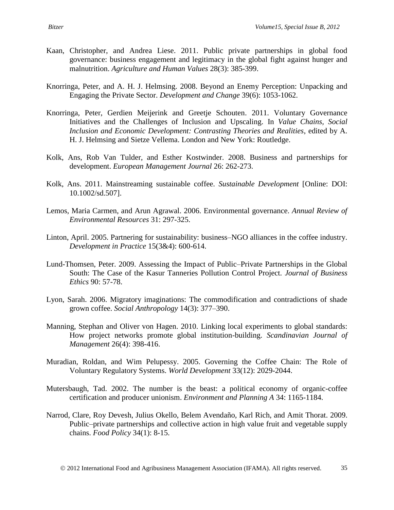- Kaan, Christopher, and Andrea Liese. 2011. Public private partnerships in global food governance: business engagement and legitimacy in the global fight against hunger and malnutrition. *Agriculture and Human Values* 28(3): 385-399.
- Knorringa, Peter, and A. H. J. Helmsing. 2008. Beyond an Enemy Perception: Unpacking and Engaging the Private Sector. *Development and Change* 39(6): 1053-1062.
- Knorringa, Peter, Gerdien Meijerink and Greetje Schouten. 2011. Voluntary Governance Initiatives and the Challenges of Inclusion and Upscaling. In *Value Chains, Social Inclusion and Economic Development: Contrasting Theories and Realities*, edited by A. H. J. Helmsing and Sietze Vellema. London and New York: Routledge.
- Kolk, Ans, Rob Van Tulder, and Esther Kostwinder. 2008. Business and partnerships for development. *European Management Journal* 26: 262-273.
- Kolk, Ans. 2011. Mainstreaming sustainable coffee. *Sustainable Development* [Online: DOI: 10.1002/sd.507].
- Lemos, Maria Carmen, and Arun Agrawal. 2006. Environmental governance. *Annual Review of Environmental Resources* 31: 297-325.
- Linton, April. 2005. Partnering for sustainability: business–NGO alliances in the coffee industry. *Development in Practice* 15(3&4): 600-614.
- Lund-Thomsen, Peter. 2009. Assessing the Impact of Public–Private Partnerships in the Global South: The Case of the Kasur Tanneries Pollution Control Project. *Journal of Business Ethics* 90: 57-78.
- Lyon, Sarah. 2006. Migratory imaginations: The commodification and contradictions of shade grown coffee. *Social Anthropology* 14(3): 377–390.
- Manning, Stephan and Oliver von Hagen. 2010. Linking local experiments to global standards: How project networks promote global institution-building. *Scandinavian Journal of Management* 26(4): 398-416.
- Muradian, Roldan, and Wim Pelupessy. 2005. Governing the Coffee Chain: The Role of Voluntary Regulatory Systems. *World Development* 33(12): 2029-2044.
- Mutersbaugh, Tad. 2002. The number is the beast: a political economy of organic-coffee certification and producer unionism. *Environment and Planning A* 34: 1165-1184.
- Narrod, Clare, Roy Devesh, Julius Okello, Belem Avendaño, Karl Rich, and Amit Thorat. 2009. Public–private partnerships and collective action in high value fruit and vegetable supply chains. *Food Policy* 34(1): 8-15.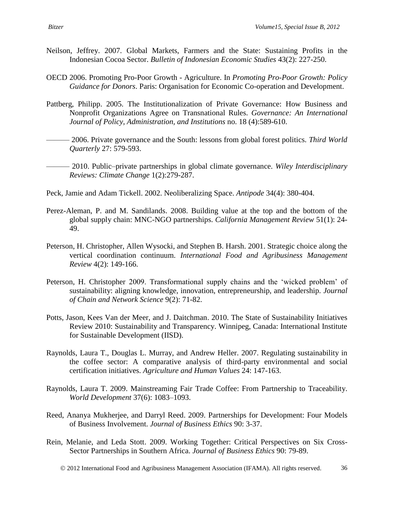- Neilson, Jeffrey. 2007. Global Markets, Farmers and the State: Sustaining Profits in the Indonesian Cocoa Sector. *Bulletin of Indonesian Economic Studies* 43(2): 227-250.
- OECD 2006. Promoting Pro-Poor Growth Agriculture. In *Promoting Pro-Poor Growth: Policy Guidance for Donors*. Paris: Organisation for Economic Co-operation and Development.
- Pattberg, Philipp. 2005. The Institutionalization of Private Governance: How Business and Nonprofit Organizations Agree on Transnational Rules. *Governance: An International Journal of Policy, Administration, and Institutions* no. 18 (4):589-610.
- ——— 2006. Private governance and the South: lessons from global forest politics. *Third World Quarterly* 27: 579-593.
- ——— 2010. Public–private partnerships in global climate governance. *Wiley Interdisciplinary Reviews: Climate Change* 1(2):279-287.
- Peck, Jamie and Adam Tickell. 2002. Neoliberalizing Space. *Antipode* 34(4): 380-404.
- Perez-Aleman, P. and M. Sandilands. 2008. Building value at the top and the bottom of the global supply chain: MNC-NGO partnerships. *California Management Review* 51(1): 24- 49.
- Peterson, H. Christopher, Allen Wysocki, and Stephen B. Harsh. 2001. Strategic choice along the vertical coordination continuum. *International Food and Agribusiness Management Review* 4(2): 149-166.
- Peterson, H. Christopher 2009. Transformational supply chains and the 'wicked problem' of sustainability: aligning knowledge, innovation, entrepreneurship, and leadership. *Journal of Chain and Network Science* 9(2): 71-82.
- Potts, Jason, Kees Van der Meer, and J. Daitchman. 2010. The State of Sustainability Initiatives Review 2010: Sustainability and Transparency. Winnipeg, Canada: International Institute for Sustainable Development (IISD).
- Raynolds, Laura T., Douglas L. Murray, and Andrew Heller. 2007. Regulating sustainability in the coffee sector: A comparative analysis of third-party environmental and social certification initiatives. *Agriculture and Human Values* 24: 147-163.
- Raynolds, Laura T. 2009. Mainstreaming Fair Trade Coffee: From Partnership to Traceability. *World Development* 37(6): 1083–1093.
- Reed, Ananya Mukherjee, and Darryl Reed. 2009. Partnerships for Development: Four Models of Business Involvement. *Journal of Business Ethics* 90: 3-37.
- Rein, Melanie, and Leda Stott. 2009. Working Together: Critical Perspectives on Six Cross-Sector Partnerships in Southern Africa. *Journal of Business Ethics* 90: 79-89.
	- 2012 International Food and Agribusiness Management Association (IFAMA). All rights reserved. 36